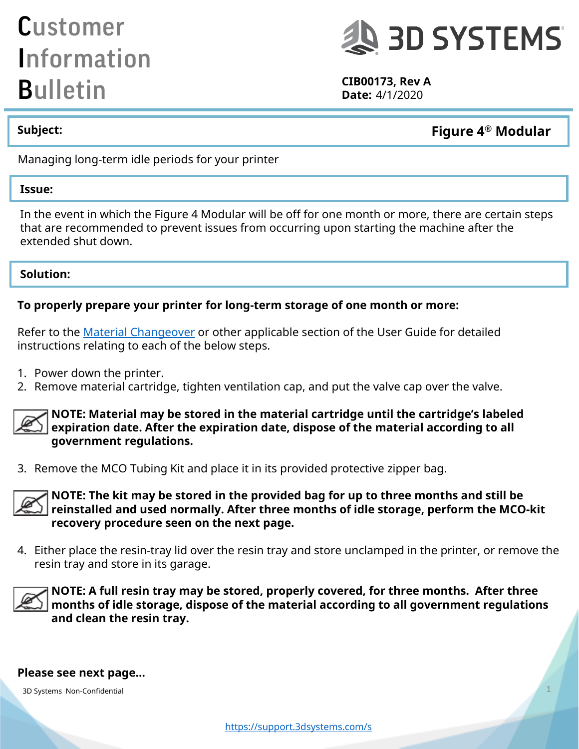## Customer Information **Bulletin** CIB00173, Rev A **CIB00173**, Rev A



**Date:** 4/1/2020

**Figure 4 Subject: ® Modular**

Managing long-term idle periods for your printer

#### **Issue:**

In the event in which the Figure 4 Modular will be off for one month or more, there are certain steps that are recommended to prevent issues from occurring upon starting the machine after the extended shut down.

#### **Solution:**

#### **To properly prepare your printer for long-term storage of one month or more:**

Refer to the [Material Changeover](http://infocenter.3dsystems.com/figure4modular/user-guide/operation/material-changeover/removereplace-mco-tubing) or other applicable section of the User Guide for detailed instructions relating to each of the below steps.

- 1. Power down the printer.
- 2. Remove material cartridge, tighten ventilation cap, and put the valve cap over the valve.



**NOTE: Material may be stored in the material cartridge until the cartridge's labeled expiration date. After the expiration date, dispose of the material according to all government regulations.**

3. Remove the MCO Tubing Kit and place it in its provided protective zipper bag.



**NOTE: The kit may be stored in the provided bag for up to three months and still be reinstalled and used normally. After three months of idle storage, perform the MCO-kit recovery procedure seen on the next page.**

4. Either place the resin-tray lid over the resin tray and store unclamped in the printer, or remove the resin tray and store in its garage.



**NOTE: A full resin tray may be stored, properly covered, for three months. After three months of idle storage, dispose of the material according to all government regulations and clean the resin tray.**

#### **Please see next page…**

3D Systems Non-Confidential 1